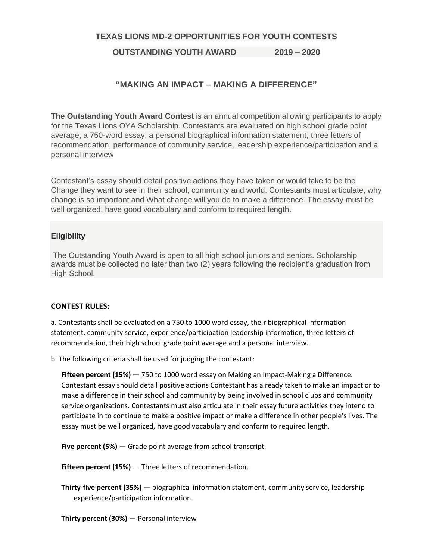### **TEXAS LIONS MD-2 OPPORTUNITIES FOR YOUTH CONTESTS**

## **OUTSTANDING YOUTH AWARD 2019 – 2020**

# **"MAKING AN IMPACT – MAKING A DIFFERENCE"**

**The Outstanding Youth Award Contest** is an annual competition allowing participants to apply for the Texas Lions OYA Scholarship. Contestants are evaluated on high school grade point average, a 750-word essay, a personal biographical information statement, three letters of recommendation, performance of community service, leadership experience/participation and a personal interview

Contestant's essay should detail positive actions they have taken or would take to be the Change they want to see in their school, community and world. Contestants must articulate, why change is so important and What change will you do to make a difference. The essay must be well organized, have good vocabulary and conform to required length.

### **Eligibility**

The Outstanding Youth Award is open to all high school juniors and seniors. Scholarship awards must be collected no later than two (2) years following the recipient's graduation from High School.

#### **CONTEST RULES:**

a. Contestants shall be evaluated on a 750 to 1000 word essay, their biographical information statement, community service, experience/participation leadership information, three letters of recommendation, their high school grade point average and a personal interview.

b. The following criteria shall be used for judging the contestant:

 **Fifteen percent (15%)** — 750 to 1000 word essay on Making an Impact-Making a Difference. Contestant essay should detail positive actions Contestant has already taken to make an impact or to make a difference in their school and community by being involved in school clubs and community service organizations. Contestants must also articulate in their essay future activities they intend to participate in to continue to make a positive impact or make a difference in other people's lives. The essay must be well organized, have good vocabulary and conform to required length.

**Five percent (5%)** — Grade point average from school transcript.

 **Fifteen percent (15%)** — Three letters of recommendation.

 **Thirty-five percent (35%)** — biographical information statement, community service, leadership experience/participation information.

**Thirty percent (30%)** — Personal interview